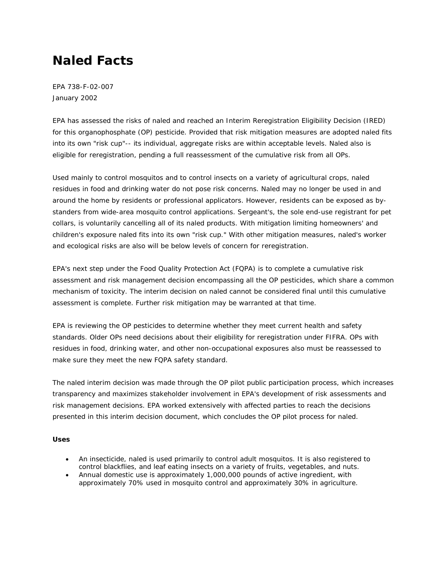# **Naled Facts**

EPA 738-F-02-007 January 2002

EPA has assessed the risks of naled and reached an Interim Reregistration Eligibility Decision (IRED) for this organophosphate (OP) pesticide. Provided that risk mitigation measures are adopted naled fits into its own "risk cup"-- its individual, aggregate risks are within acceptable levels. Naled also is eligible for reregistration, pending a full reassessment of the cumulative risk from all OPs.

Used mainly to control mosquitos and to control insects on a variety of agricultural crops, naled residues in food and drinking water do not pose risk concerns. Naled may no longer be used in and around the home by residents or professional applicators. However, residents can be exposed as bystanders from wide-area mosquito control applications. Sergeant's, the sole end-use registrant for pet collars, is voluntarily cancelling all of its naled products. With mitigation limiting homeowners' and children's exposure naled fits into its own "risk cup." With other mitigation measures, naled's worker and ecological risks are also will be below levels of concern for reregistration.

EPA's next step under the Food Quality Protection Act (FQPA) is to complete a cumulative risk assessment and risk management decision encompassing all the OP pesticides, which share a common mechanism of toxicity. The interim decision on naled cannot be considered final until this cumulative assessment is complete. Further risk mitigation may be warranted at that time.

EPA is reviewing the OP pesticides to determine whether they meet current health and safety standards. Older OPs need decisions about their eligibility for reregistration under FIFRA. OPs with residues in food, drinking water, and other non-occupational exposures also must be reassessed to make sure they meet the new FQPA safety standard.

The naled interim decision was made through the OP pilot public participation process, which increases transparency and maximizes stakeholder involvement in EPA's development of risk assessments and risk management decisions. EPA worked extensively with affected parties to reach the decisions presented in this interim decision document, which concludes the OP pilot process for naled.

## **Uses**

- An insecticide, naled is used primarily to control adult mosquitos. It is also registered to control blackflies, and leaf eating insects on a variety of fruits, vegetables, and nuts.
- Annual domestic use is approximately 1,000,000 pounds of active ingredient, with approximately 70% used in mosquito control and approximately 30% in agriculture.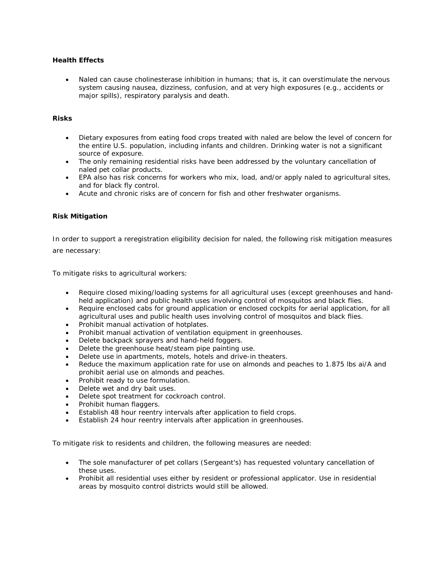## **Health Effects**

Naled can cause cholinesterase inhibition in humans; that is, it can overstimulate the nervous system causing nausea, dizziness, confusion, and at very high exposures (e.g., accidents or major spills), respiratory paralysis and death.

#### **Risks**

- Dietary exposures from eating food crops treated with naled are below the level of concern for the entire U.S. population, including infants and children. Drinking water is not a significant source of exposure.
- The only remaining residential risks have been addressed by the voluntary cancellation of naled pet collar products.
- EPA also has risk concerns for workers who mix, load, and/or apply naled to agricultural sites, and for black fly control.
- Acute and chronic risks are of concern for fish and other freshwater organisms.

### **Risk Mitigation**

In order to support a reregistration eligibility decision for naled, the following risk mitigation measures are necessary:

To mitigate risks to agricultural workers:

- Require closed mixing/loading systems for all agricultural uses (except greenhouses and handheld application) and public health uses involving control of mosquitos and black flies.
- Require enclosed cabs for ground application or enclosed cockpits for aerial application, for all agricultural uses and public health uses involving control of mosquitos and black flies.
- Prohibit manual activation of hotplates.
- Prohibit manual activation of ventilation equipment in greenhouses.
- Delete backpack sprayers and hand-held foggers.
- Delete the greenhouse heat/steam pipe painting use.
- Delete use in apartments, motels, hotels and drive-in theaters.
- Reduce the maximum application rate for use on almonds and peaches to 1.875 lbs ai/A and prohibit aerial use on almonds and peaches.
- Prohibit ready to use formulation.
- Delete wet and dry bait uses.
- Delete spot treatment for cockroach control.
- Prohibit human flaggers.
- Establish 48 hour reentry intervals after application to field crops.
- Establish 24 hour reentry intervals after application in greenhouses.

To mitigate risk to residents and children, the following measures are needed:

- The sole manufacturer of pet collars (Sergeant's) has requested voluntary cancellation of these uses.
- Prohibit all residential uses either by resident or professional applicator. Use in residential areas by mosquito control districts would still be allowed.